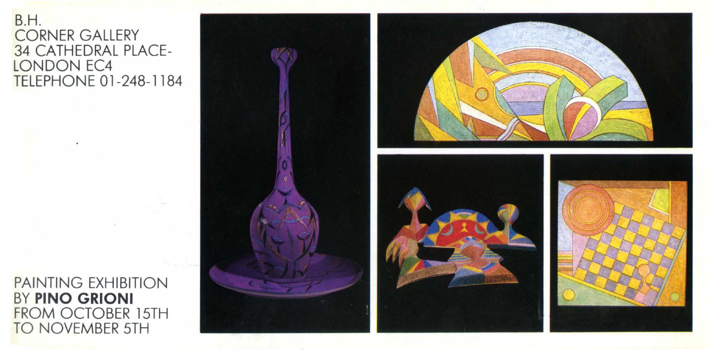## $B.H.$ **CORNER GALLERY** 34 CATHEDRAL PLACE-LONDON EC4 **TELEPHONE 01-248-1184**

**PAINTING EXHIBITION BY PINO GRIONI FROM OCTOBER 15TH TO NOVEMBER 5TH** 

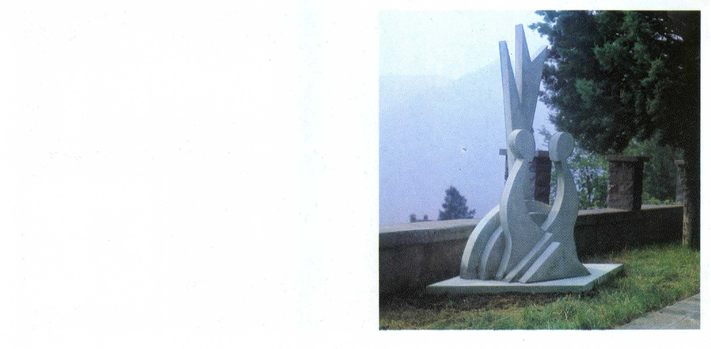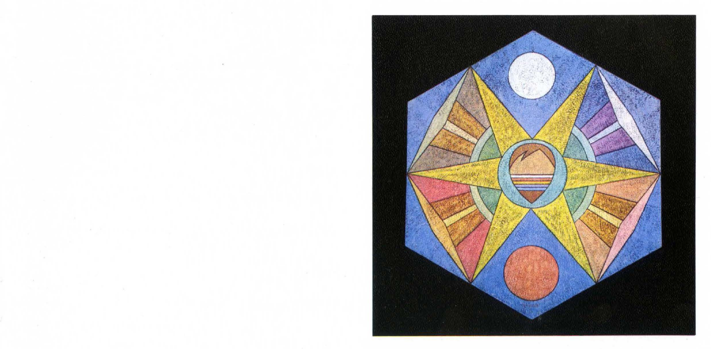

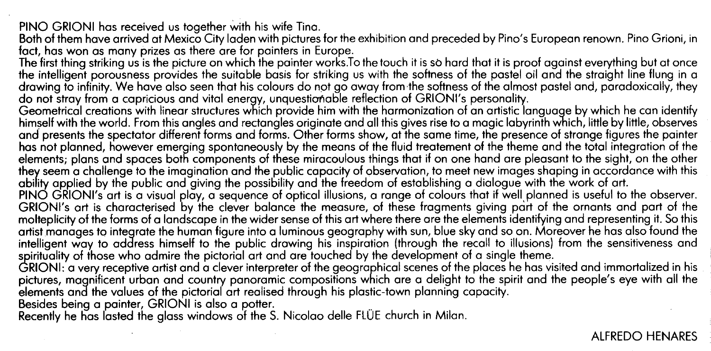PINO GRIONI has received us together with his wife Tina.

Both of them have arrived at Mexico City laden with pictures for the exhibition and preceded by Pino's European renown. Pino Grioni. in fact, has won as many prizes as there are for painters in Europe.

The first thing striking us is the picture on which the painter works.To the touch it is so hard that it is proof against everything but at once the intelligent porousness provides the suitable basis for striking us with the softness of the pastel oil and the straight line flung in a drawing to infinity. We have also seen that his colours do not go away from the softness of the almost pastel and, paradoxically, they do not stray from a capricious and vital energy, unquestionable reflection of GRIONI's personality.

Geometrica! creations with linear structures which previde him with the harmonization of on artistic language by which he con identify himself with the world. From this angles and rectangles originate and all this gives rise to a magic labyrinth which, little by little, observes and presents the spectator different forms and forms. Other forms show, at the some time, the presence of strange figures the pointer has not planned, however emerging spontaneously by the means of the fluid treatement of the theme and the total integration of the elements; plans and spaces both components of these miracoulous things that if on one hand are pleasant to the sight, on the other they seem a challenge to the imagination and the public capacity of observation, to meet new images shaping in accordance with this ability applied by the public and giving the possibility and the freedom of establishing a dialogue with the work of art.

PINO GRIONI's art is a visual play, a sequence of optical illusions, a range of colours that if well planned is useful to the observer. GRIONl's art is characterised by the clever balance the measure, of these fragments giving part of the ornants and part of the molteplicity of the forms of a landscape in the wider sense of this art where there are the elements identifying and representing it. So this artist manages to integrate the human figure into a luminous geography with sun, blue sky and so on. Moreover he has also found the intelligent way to address himself to the public drawing his inspiration (through the recali to illusions) from the sensitiveness and spirituality of those who admire the pictorial art and are touched by the development of a single theme.

GRIONI: a very receptive artist and a clever interpreter of the geographical scenes of the places he has visited and immortalized in his pictures, magnificent urban and country panoramic compositions which are a delight to the spirit and the people's eye with all the elements and the values of the pictorial art realised through his plastic-town planning capacity.

Besides being a painter, GRIONI is also a potter.

Recently he has lasted the glass windows of the S. Nicolao delle FLUE church in Milan.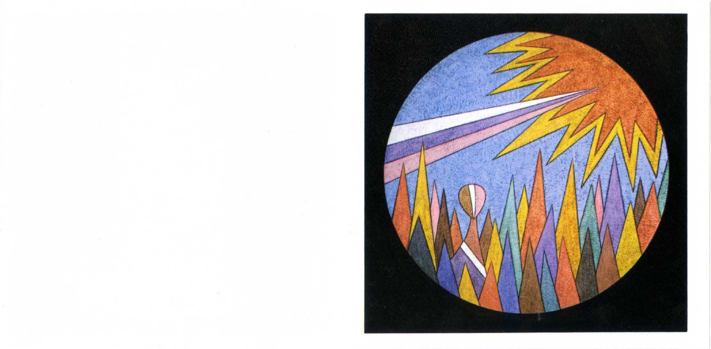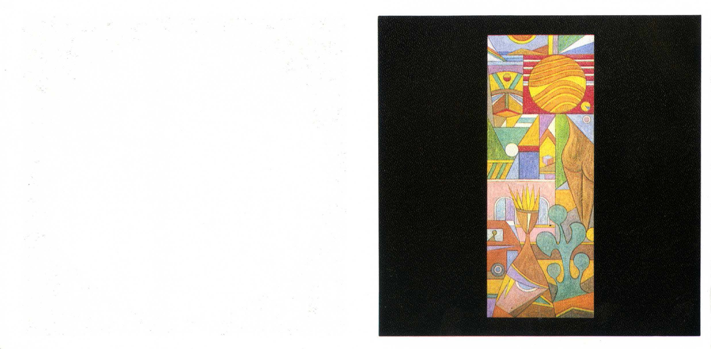

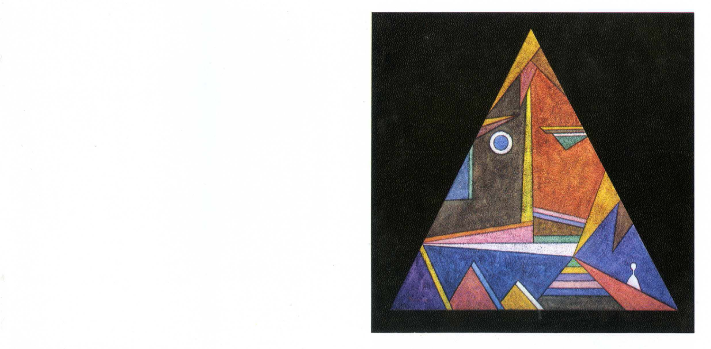